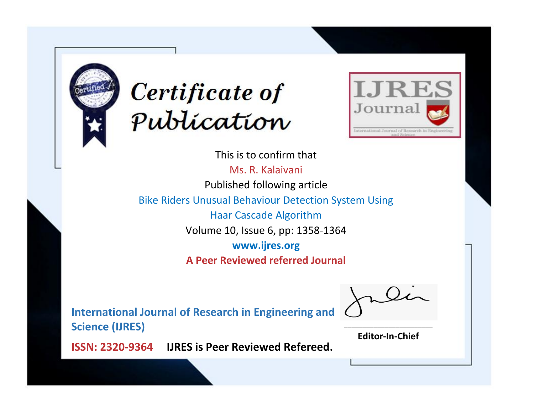



This is to confirm that Ms. R. Kalaivani Published following article Bike Riders Unusual Behaviour Detection System Using Haar Cascade Algorithm Volume 10, Issue 6, pp: 1358-1364 **www.ijres.org A Peer Reviewed referred Journal**

**International Journal of Research in Engineering and Science (IJRES)**

\_\_\_\_\_\_\_\_\_\_\_\_\_\_\_\_\_\_\_\_\_\_\_\_ **Editor-In-Chief**

**Journal.**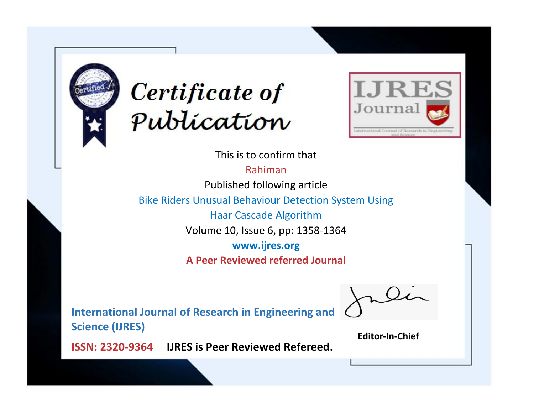



This is to confirm that

Rahiman

Published following article

Bike Riders Unusual Behaviour Detection System Using

Haar Cascade Algorithm

Volume 10, Issue 6, pp: 1358-1364

**www.ijres.org**

**A Peer Reviewed referred Journal**

**International Journal of Research in Engineering and Science (IJRES)**

\_\_\_\_\_\_\_\_\_\_\_\_\_\_\_\_\_\_\_\_\_\_\_\_ **Editor-In-Chief**

**Journal.**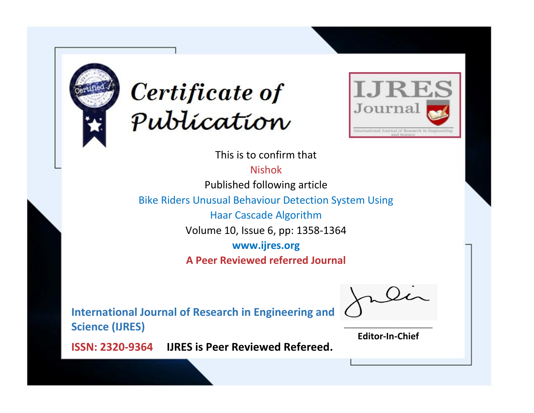



This is to confirm that Nishok

Published following article

Bike Riders Unusual Behaviour Detection System Using

Haar Cascade Algorithm

Volume 10, Issue 6, pp: 1358-1364

**www.ijres.org**

**A Peer Reviewed referred Journal**

**International Journal of Research in Engineering and Science (IJRES)**

\_\_\_\_\_\_\_\_\_\_\_\_\_\_\_\_\_\_\_\_\_\_\_\_ **Editor-In-Chief**

**Journal.**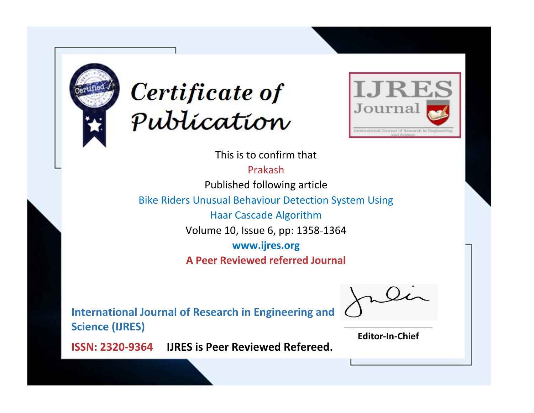



This is to confirm that

Prakash

Published following article

Bike Riders Unusual Behaviour Detection System Using

Haar Cascade Algorithm

Volume 10, Issue 6, pp: 1358-1364

**www.ijres.org**

**A Peer Reviewed referred Journal**

**International Journal of Research in Engineering and Science (IJRES)**

\_\_\_\_\_\_\_\_\_\_\_\_\_\_\_\_\_\_\_\_\_\_\_\_ **Editor-In-Chief**

**Journal.**